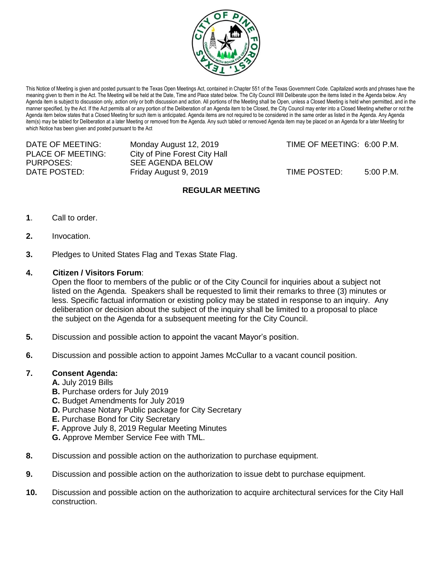

This Notice of Meeting is given and posted pursuant to the Texas Open Meetings Act, contained in Chapter 551 of the Texas Government Code. Capitalized words and phrases have the meaning given to them in the Act. The Meeting will be held at the Date, Time and Place stated below. The City Council Will Deliberate upon the items listed in the Agenda below. Any Agenda item is subject to discussion only, action only or both discussion and action. All portions of the Meeting shall be Open, unless a Closed Meeting is held when permitted, and in the manner specified, by the Act. If the Act permits all or any portion of the Deliberation of an Agenda item to be Closed, the City Council may enter into a Closed Meeting whether or not the Agenda item below states that a Closed Meeting for such item is anticipated. Agenda items are not required to be considered in the same order as listed in the Agenda. Any Agenda item(s) may be tabled for Deliberation at a later Meeting or removed from the Agenda. Any such tabled or removed Agenda item may be placed on an Agenda for a later Meeting for which Notice has been given and posted pursuant to the Act

PURPOSES: SEE AGENDA BELOW

PLACE OF MEETING: City of Pine Forest City Hall

DATE OF MEETING: Monday August 12, 2019 TIME OF MEETING: 6:00 P.M.

DATE POSTED: Friday August 9, 2019 TIME POSTED: 5:00 P.M.

# **REGULAR MEETING**

- **1**. Call to order.
- **2.** Invocation.
- **3.** Pledges to United States Flag and Texas State Flag.

# **4. Citizen / Visitors Forum**:

Open the floor to members of the public or of the City Council for inquiries about a subject not listed on the Agenda. Speakers shall be requested to limit their remarks to three (3) minutes or less. Specific factual information or existing policy may be stated in response to an inquiry. Any deliberation or decision about the subject of the inquiry shall be limited to a proposal to place the subject on the Agenda for a subsequent meeting for the City Council.

- **5.** Discussion and possible action to appoint the vacant Mayor's position.
- **6.** Discussion and possible action to appoint James McCullar to a vacant council position.

### **7. Consent Agenda:**

- **A.** July 2019 Bills
- **B.** Purchase orders for July 2019
- **C.** Budget Amendments for July 2019
- **D.** Purchase Notary Public package for City Secretary
- **E.** Purchase Bond for City Secretary
- **F.** Approve July 8, 2019 Regular Meeting Minutes
- **G.** Approve Member Service Fee with TML.
- **8.** Discussion and possible action on the authorization to purchase equipment.
- **9.** Discussion and possible action on the authorization to issue debt to purchase equipment.
- **10.** Discussion and possible action on the authorization to acquire architectural services for the City Hall construction.